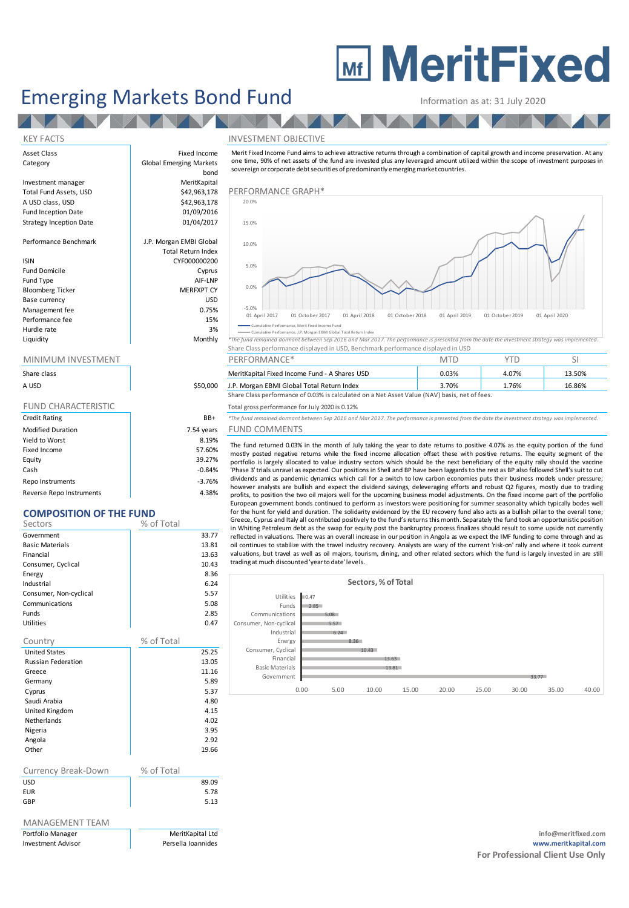# **MEDITY MeritFixed**

## Emerging Markets Bond Fund Information as at: 31 July 2020

| Asset Class<br>Category        | Fixed Income<br><b>Global Emerging Markets</b> | Merit Fixed Income Fund aims to<br>one time, 90% of net assets of th |
|--------------------------------|------------------------------------------------|----------------------------------------------------------------------|
|                                | bond                                           | sovereign or corporate debt secu                                     |
| Investment manager             | MeritKapital                                   |                                                                      |
| Total Fund Assets, USD         | \$42,963,178                                   | PERFORMANCE GRAPH*                                                   |
| A USD class, USD               | \$42,963,178                                   | 20.0%                                                                |
| Fund Inception Date            | 01/09/2016                                     |                                                                      |
| <b>Strategy Inception Date</b> | 01/04/2017                                     | 15.0%                                                                |
|                                |                                                |                                                                      |
| Performance Benchmark          | J.P. Morgan EMBI Global                        | 10.0%                                                                |
|                                | <b>Total Return Index</b>                      |                                                                      |
| <b>ISIN</b>                    | CYF000000200                                   | 5.0%                                                                 |
| <b>Fund Domicile</b>           | Cyprus                                         |                                                                      |
| Fund Type                      | AIF-LNP                                        | 0.0%                                                                 |
| <b>Bloomberg Ticker</b>        | <b>MERFXPT CY</b>                              |                                                                      |
| Base currency                  | <b>USD</b>                                     |                                                                      |
| Management fee                 | 0.75%                                          | $-5.0%$<br>01 October 20<br>01 April 2017                            |
| Performance fee                | 15%                                            | Cumulative Performance, Merit Fixed Inc.                             |
| Hurdle rate                    | 3%                                             | Cumulative Performance, J.P. Morgan EB                               |
| Liquidity                      | Monthly                                        | *The fund remained dormant between                                   |
|                                |                                                | Share Class performance displaye                                     |
| MINIMI IM INVESTMENT           |                                                | DEREORMANCE*                                                         |

| Share class                |            |
|----------------------------|------------|
| A USD                      | \$50,000   |
|                            |            |
| <b>FUND CHARACTERISTIC</b> |            |
| <b>Credit Rating</b>       | BB+        |
| <b>Modified Duration</b>   | 7.54 years |
| Yield to Worst             | 8.19%      |
| Fixed Income               | 57.60%     |
| Equity                     | 39.27%     |
| Cash                       | $-0.84%$   |

Repo Instruments and the set of the set of the set of the set of the set of the set of the set of the set of the set of the set of the set of the set of the set of the set of the set of the set of the set of the set of the Reverse Repo Instruments and the contract of the 4.38%

#### **COMPOSITION OF THE FUND**

| Sectors                    | % of Total |       |
|----------------------------|------------|-------|
| Government                 |            | 33.77 |
| <b>Basic Materials</b>     |            | 13.81 |
| Financial                  |            | 13.63 |
| Consumer, Cyclical         |            | 10.43 |
| Energy                     |            | 8.36  |
| Industrial                 |            | 6.24  |
| Consumer, Non-cyclical     |            | 5.57  |
| Communications             |            | 5.08  |
| Funds                      |            | 2.85  |
| Utilities                  |            | 0.47  |
| Country                    | % of Total |       |
| <b>United States</b>       |            | 25.25 |
| <b>Russian Federation</b>  |            | 13.05 |
| Greece                     |            | 11.16 |
| Germany                    |            | 5.89  |
| Cyprus                     |            | 5.37  |
| Saudi Arabia               |            | 4.80  |
| United Kingdom             |            | 4.15  |
| <b>Netherlands</b>         |            | 4.02  |
| Nigeria                    |            | 3.95  |
| Angola                     |            | 2.92  |
| Other                      |            | 19.66 |
| Currency Break-Down        | % of Total |       |
| <b>USD</b>                 |            | 89.09 |
| <b>EUR</b>                 |            | 5.78  |
| GBP                        |            | 5.13  |
|                            |            |       |
| <b>MAANACEMAENIT TEAMA</b> |            |       |

### MANAGEMENT TEAM

### KEY FACTS **INVESTMENT OBJECTIVE**

Information as at: 31 July 2020<br>
NVESTMENT OBJECTIVE<br>
Merit Fixed Income Fund aims to achieve attractive returns through a combination of capital growth and income preservation. At any<br>
one time, 90% of net assets of the f sovereign or corporate debt securities of predominantly emerging market countries.



Cumulative Performance, Merit Fixed Income Fund Cumulative Performance, J.P. Morgan EBMI Global Total Return Index

| Share Class performance displayed in USD, Benchmark performance displayed in USD                                                                                      |  |
|-----------------------------------------------------------------------------------------------------------------------------------------------------------------------|--|
|                                                                                                                                                                       |  |
| Liquidity<br>Monthly<br>*The fund remained dormant between Sep 2016 and Mar 2017. The performance is presented from the date the investment strateay was implemented. |  |

| <u>IVIII VIIVI VI VI II V V LJ I IVILI V I</u> |          | LIVI VINYIMINUL                                                                               | 171 L |       |        |
|------------------------------------------------|----------|-----------------------------------------------------------------------------------------------|-------|-------|--------|
| Share class                                    |          | MeritKapital Fixed Income Fund - A Shares USD                                                 | 0.03% | 4.07% | 13.50% |
| A USD                                          | \$50,000 | J.P. Morgan EBMI Global Total Return Index                                                    | 3.70% | .76%  | 16.86% |
|                                                |          | Share Class performance of 0.03% is calculated on a Net Asset Value (NAV) basis, net of fees. |       |       |        |

#### Total gross performance for July 2020 is 0.12%

B+ \*The fund remained dormant between Sep 2016 and Mar 2017. The performance is presented from the date the investment strategy was implemented ears FUND COMMENTS

The fund returned 0.03% is calculated on a Net Asset Value (NAV) basis, net of fees.<br>The fund gross performance of 0.03% is calculated on a Net Asset Value (NAV) basis, net of fees.<br>The fund returned domant between Sep 201 mostly posted negative returns while the fixed income allocation offset these with positive returns. The equity segment of the The fund remained domaint between Sep 2016 and Mar 2017. The performance is presented from the date the investment strategy was implemented.<br>The fund remained domaint between Sep 2016 and Mar 2017. The performance is prese dividends and as pandemic dynamics which call for a switch to low carbon economies puts their business models under pressure; however analysts are bullish and expect the dividend savings, deleveraging efforts and robust Q2 figures, mostly due to trading profits, to position the two oil majors well for the upcoming business model adjustments. On the fixed income part of the portfolio European government bonds continued to perform as investors were positioning for summer seasonality which typically bodes well for the hunt for yield and duration. The solidarity evidenced by the EU recovery fund also acts as a bullish pillar to the overall tone; Greece, Cyprus and Italy all contributed positively to the fund's returns this month. Separately the fund took an opportunistic position in Whiting Petroleum debt as the swap for equity post the bankruptcy process finalize prorion is alternal end as the multimity secures which should be the least behieving of the equity rany should the vactile to vertex the summer should be the rest as BP also followed Shell's suit to cut dividends and as pa Prince 5 than's unrave as expected. Our possiblism in shell and o Prince been langed as to the rest as be also to moved shell and expect to the dividends and as pandemic dynamics which call for a swith to low carbon econom riowever analysts are buillari and expect the unkoming buisness model adjustments. On the fixed income part of the portfolio European government bonds continued to perform as investors were positioning for summer seasonali trading at much discounted 'yearto date' levels.

|                        |      |      | Sectors, % of Total |       |       |       |       |       |       |
|------------------------|------|------|---------------------|-------|-------|-------|-------|-------|-------|
| Utilities              | 0.47 |      |                     |       |       |       |       |       |       |
| Funds                  | 2.85 |      |                     |       |       |       |       |       |       |
| Communications         | 5.08 |      |                     |       |       |       |       |       |       |
| Consumer, Non-cyclical |      | 5.57 |                     |       |       |       |       |       |       |
| Industrial             |      | 6.24 |                     |       |       |       |       |       |       |
| Energy                 |      | 8.36 |                     |       |       |       |       |       |       |
| Consumer, Cyclical     |      |      | 10.43               |       |       |       |       |       |       |
| Financial              |      |      | 13.63               |       |       |       |       |       |       |
| <b>Basic Materials</b> |      |      |                     | 13.81 |       |       |       |       |       |
| Government             |      |      |                     |       |       |       |       | 33.77 |       |
|                        | 0.00 | 5.00 | 10.00               | 15.00 | 20.00 | 25.00 | 30.00 | 35.00 | 40.00 |
|                        |      |      |                     |       |       |       |       |       |       |